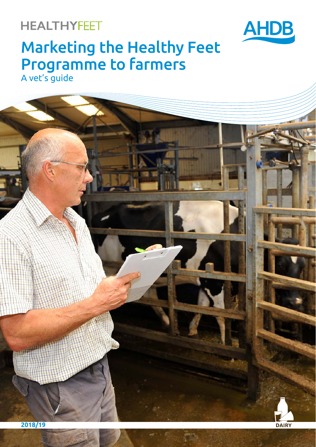## **HEALTHYFEET**



# Marketing the Healthy Feet Programme to farmers

A vet's guide

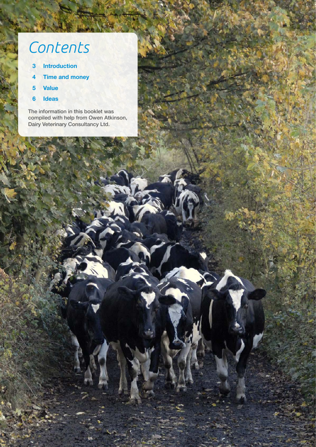# *Contents*

- **3 Introduction**
- **4 Time and money**
- **5 Value**

 $\overline{\phantom{a}}$ 

**6 Ideas**

The information in this booklet was compiled with help from Owen Atkinson, Dairy Veterinary Consultancy Ltd.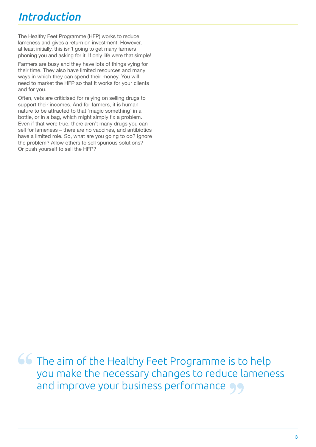# *Introduction*

The Healthy Feet Programme (HFP) works to reduce lameness and gives a return on investment. However, at least initially, this isn't going to get many farmers phoning you and asking for it. If only life were that simple!

Farmers are busy and they have lots of things vying for their time. They also have limited resources and many ways in which they can spend their money. You will need to market the HFP so that it works for your clients and for you.

Often, vets are criticised for relying on selling drugs to support their incomes. And for farmers, it is human nature to be attracted to that 'magic something' in a bottle, or in a bag, which might simply fix a problem. Even if that were true, there aren't many drugs you can sell for lameness – there are no vaccines, and antibiotics have a limited role. So, what are you going to do? Ignore the problem? Allow others to sell spurious solutions? Or push yourself to sell the HFP?

**66** The aim of the Healthy Feet Programme is to help you make the necessary changes to reduce lameness and improve your business performance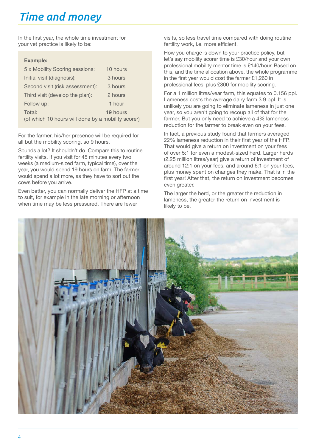# *Time and money*

In the first year, the whole time investment for your vet practice is likely to be:

#### **Example:**

| 5 x Mobility Scoring sessions:                     | 10 hours |
|----------------------------------------------------|----------|
| Initial visit (diagnosis):                         | 3 hours  |
| Second visit (risk assessment):                    | 3 hours  |
| Third visit (develop the plan):                    | 2 hours  |
| Follow up:                                         | 1 hour   |
| Total:                                             | 19 hours |
| (of which 10 hours will done by a mobility scorer) |          |

For the farmer, his/her presence will be required for all but the mobility scoring, so 9 hours.

Sounds a lot? It shouldn't do. Compare this to routine fertility visits. If you visit for 45 minutes every two weeks (a medium-sized farm, typical time), over the year, you would spend 19 hours on farm. The farmer would spend a lot more, as they have to sort out the cows before you arrive.

Even better, you can normally deliver the HFP at a time to suit, for example in the late morning or afternoon when time may be less pressured. There are fewer

visits, so less travel time compared with doing routine fertility work, i.e. more efficient.

How you charge is down to your practice policy, but let's say mobility scorer time is £30/hour and your own professional mobility mentor time is £140/hour. Based on this, and the time allocation above, the whole programme in the first year would cost the farmer £1,260 in professional fees, plus £300 for mobility scoring.

For a 1 million litres/year farm, this equates to 0.156 ppl. Lameness costs the average dairy farm 3.9 ppl. It is unlikely you are going to eliminate lameness in just one year, so you aren't going to recoup all of that for the farmer. But you only need to achieve a 4% lameness reduction for the farmer to break even on your fees.

In fact, a previous study found that farmers averaged 22% lameness reduction in their first year of the HFP. That would give a return on investment on your fees of over 5:1 for even a modest-sized herd. Larger herds (2.25 million litres/year) give a return of investment of around 12:1 on your fees, and around 6:1 on your fees, plus money spent on changes they make. That is in the first year! After that, the return on investment becomes even greater.

The larger the herd, or the greater the reduction in lameness, the greater the return on investment is likely to be.

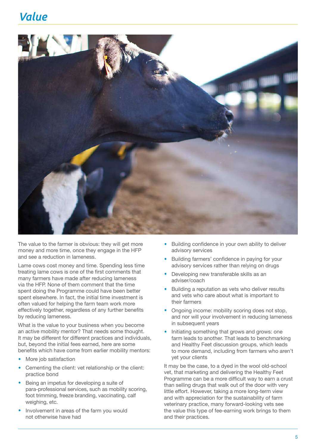### *Value*



The value to the farmer is obvious: they will get more money and more time, once they engage in the HFP and see a reduction in lameness.

Lame cows cost money and time. Spending less time treating lame cows is one of the first comments that many farmers have made after reducing lameness via the HFP. None of them comment that the time spent doing the Programme could have been better spent elsewhere. In fact, the initial time investment is often valued for helping the farm team work more effectively together, regardless of any further benefits by reducing lameness.

What is the value to your business when you become an active mobility mentor? That needs some thought. It may be different for different practices and individuals, but, beyond the initial fees earned, here are some benefits which have come from earlier mobility mentors:

- **More job satisfaction**
- Cementing the client: vet relationship or the client: practice bond
- **Being an impetus for developing a suite of** para-professional services, such as mobility scoring, foot trimming, freeze branding, vaccinating, calf weighing, etc.
- **•**  Involvement in areas of the farm you would not otherwise have had
- Building confidence in your own ability to deliver advisory services
- **Building farmers' confidence in paying for your** advisory services rather than relying on drugs
- Developing new transferable skills as an adviser/coach
- **Building a reputation as vets who deliver results** and vets who care about what is important to their farmers
- Ongoing income: mobility scoring does not stop, and nor will your involvement in reducing lameness in subsequent years
- Initiating something that grows and grows: one farm leads to another. That leads to benchmarking and Healthy Feet discussion groups, which leads to more demand, including from farmers who aren't yet your clients

It may be the case, to a dyed in the wool old-school vet, that marketing and delivering the Healthy Feet Programme can be a more difficult way to earn a crust than selling drugs that walk out of the door with very little effort. However, taking a more long-term view and with appreciation for the sustainability of farm veterinary practice, many forward-looking vets see the value this type of fee-earning work brings to them and their practices.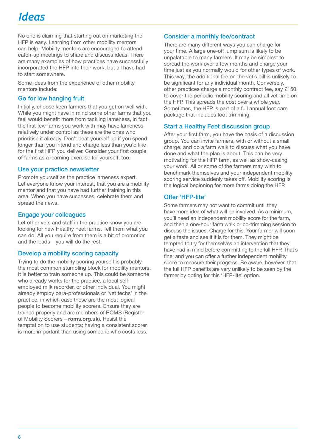# *Ideas*

No one is claiming that starting out on marketing the HFP is easy. Learning from other mobility mentors can help. Mobility mentors are encouraged to attend catch-up meetings to share and discuss ideas. There are many examples of how practices have successfully incorporated the HFP into their work, but all have had to start somewhere.

Some ideas from the experience of other mobility mentors include:

#### Go for low hanging fruit

Initially, choose keen farmers that you get on well with. While you might have in mind some other farms that you feel would benefit more from tackling lameness, in fact, the first few farms you work with may have lameness relatively under control as these are the ones who prioritise it already. Don't beat yourself up if you spend longer than you intend and charge less than you'd like for the first HFP you deliver. Consider your first couple of farms as a learning exercise for yourself, too.

#### Use your practice newsletter

Promote yourself as the practice lameness expert. Let everyone know your interest, that you are a mobility mentor and that you have had further training in this area. When you have successes, celebrate them and spread the news.

#### Engage your colleagues

Let other vets and staff in the practice know you are looking for new Healthy Feet farms. Tell them what you can do. All you require from them is a bit of promotion and the leads – you will do the rest.

#### Develop a mobility scoring capacity

Trying to do the mobility scoring yourself is probably the most common stumbling block for mobility mentors. It is better to train someone up. This could be someone who already works for the practice, a local selfemployed milk recorder, or other individual. You might already employ para-professionals or 'vet techs' in the practice, in which case these are the most logical people to become mobility scorers. Ensure they are trained properly and are members of ROMS (Register of Mobility Scorers – **[roms.org.uk](http://www.roms.org.uk)**). Resist the temptation to use students; having a consistent scorer is more important than using someone who costs less.

#### Consider a monthly fee/contract

There are many different ways you can charge for your time. A large one-off lump sum is likely to be unpalatable to many farmers. It may be simplest to spread the work over a few months and charge your time just as you normally would for other types of work. This way, the additional fee on the vet's bill is unlikely to be significant for any individual month. Conversely, other practices charge a monthly contract fee, say £150, to cover the periodic mobility scoring and all vet time on the HFP. This spreads the cost over a whole year. Sometimes, the HFP is part of a full annual foot care package that includes foot trimming.

#### Start a Healthy Feet discussion group

After your first farm, you have the basis of a discussion group. You can invite farmers, with or without a small charge, and do a farm walk to discuss what you have done and what the plan is about. This can be very motivating for the HFP farm, as well as show-casing your work. All or some of the farmers may wish to benchmark themselves and your independent mobility scoring service suddenly takes off. Mobility scoring is the logical beginning for more farms doing the HFP.

#### Offer 'HFP-lite'

Some farmers may not want to commit until they have more idea of what will be involved. As a minimum, you'll need an independent mobility score for the farm, and then a one-hour farm walk or co-trimming session to discuss the issues. Charge for this. Your farmer will soon get a taste and see if it is for them. They might be tempted to try for themselves an intervention that they have had in mind before committing to the full HFP. That's fine, and you can offer a further independent mobility score to measure their progress. Be aware, however, that the full HFP benefits are very unlikely to be seen by the farmer by opting for this 'HFP-lite' option.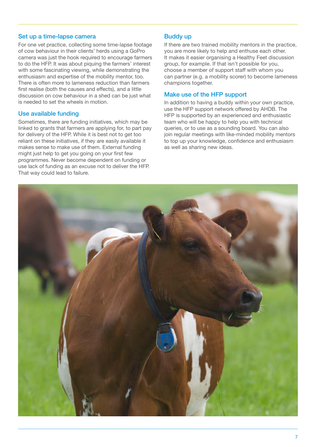#### Set up a time-lapse camera

For one vet practice, collecting some time-lapse footage of cow behaviour in their clients' herds using a GoPro camera was just the hook required to encourage farmers to do the HFP. It was about piquing the farmers' interest with some fascinating viewing, while demonstrating the enthusiasm and expertise of the mobility mentor, too. There is often more to lameness reduction than farmers first realise (both the causes and effects), and a little discussion on cow behaviour in a shed can be just what is needed to set the wheels in motion.

#### Use available funding

Sometimes, there are funding initiatives, which may be linked to grants that farmers are applying for, to part pay for delivery of the HFP. While it is best not to get too reliant on these initiatives, if they are easily available it makes sense to make use of them. External funding might just help to get you going on your first few programmes. Never become dependent on funding or use lack of funding as an excuse not to deliver the HFP. That way could lead to failure.

#### Buddy up

If there are two trained mobility mentors in the practice, you are more likely to help and enthuse each other. It makes it easier organising a Healthy Feet discussion group, for example. If that isn't possible for you, choose a member of support staff with whom you can partner (e.g. a mobility scorer) to become lameness champions together.

#### Make use of the HFP support

In addition to having a buddy within your own practice, use the HFP support network offered by AHDB. The HFP is supported by an experienced and enthusiastic team who will be happy to help you with technical queries, or to use as a sounding board. You can also join regular meetings with like-minded mobility mentors to top up your knowledge, confidence and enthusiasm as well as sharing new ideas.